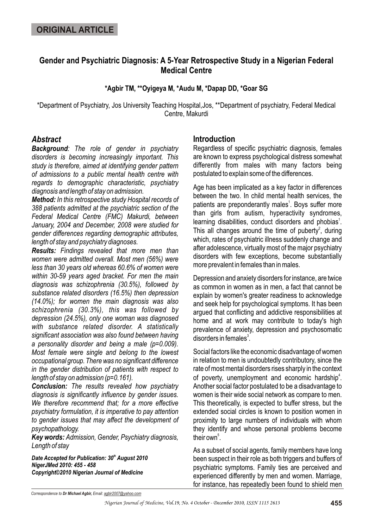# **Gender and Psychiatric Diagnosis: A 5-Year Retrospective Study in a Nigerian Federal Medical Centre**

**\*Agbir TM, \*\*Oyigeya M, \*Audu M, \*Dapap DD, \*Goar SG**

\*Department of Psychiatry, Jos University Teaching Hospital,Jos, \*\*Department of psychiatry, Federal Medical Centre, Makurdi

## *Abstract*

*Background: The role of gender in psychiatry disorders is becoming increasingly important. This study is therefore, aimed at identifying gender pattern of admissions to a public mental health centre with regards to demographic characteristic, psychiatry diagnosis and length of stay on admission.*

*Method: In this retrospective study Hospital records of 388 patients admitted at the psychiatric section of the Federal Medical Centre (FMC) Makurdi, between January, 2004 and December, 2008 were studied for gender differences regarding demographic attributes, length of stay and psychiatry diagnoses.*

*Results: Findings revealed that more men than women were admitted overall. Most men (56%) were less than 30 years old whereas 60.6% of women were within 30-59 years aged bracket. For men the main diagnosis was schizophrenia (30.5%), followed by substance related disorders (16.5%) then depression (14.0%); for women the main diagnosis was also schizophrenia (30.3%), this was followed by depression (24.5%), only one woman was diagnosed with substance related disorder. A statistically significant association was also found between having a personality disorder and being a male (p=0.009). Most female were single and belong to the lowest occupational group. There was no significant difference in the gender distribution of patients with respect to length of stay on admission (p=0.161).*

*Conclusion: The results revealed how psychiatry diagnosis is significantly influence by gender issues. We therefore recommend that; for a more effective psychiatry formulation, it is imperative to pay attention to gender issues that may affect the development of psychopathology.* 

*Key words: Admission, Gender, Psychiatry diagnosis, Length of stay* 

*th Date Accepted for Publication: 30 August 2010 NigerJMed 2010: 455 - 458 Copyright©2010 Nigerian Journal of Medicine*

## **Introduction**

Regardless of specific psychiatric diagnosis, females are known to express psychological distress somewhat differently from males with many factors being postulated to explain some of the differences.

Age has been implicated as a key factor in differences between the two. In child mental health services, the patients are preponderantly males<sup>1</sup>. Boys suffer more than girls from autism, hyperactivity syndromes, learning disabilities, conduct disorders and phobias<sup>1</sup>. This all changes around the time of puberty<sup>2</sup>, during which, rates of psychiatric illness suddenly change and after adolescence, virtually most of the major psychiatry disorders with few exceptions, become substantially more prevalent in females than in males.

Depression and anxiety disorders for instance, are twice as common in women as in men, a fact that cannot be explain by women's greater readiness to acknowledge and seek help for psychological symptoms. It has been argued that conflicting and addictive responsibilities at home and at work may contribute to today's high prevalence of anxiety, depression and psychosomatic disorders in females $^3$ .

Social factors like the economic disadvantage of women in relation to men is undoubtedly contributory, since the rate of most mental disorders rises sharply in the context of poverty, unemployment and economic hardship<sup>4</sup>. Another social factor postulated to be a disadvantage to women is their wide social network as compare to men. This theoretically, is expected to buffer stress, but the extended social circles is known to position women in proximity to large numbers of individuals with whom they identify and whose personal problems become their own<sup>5</sup>.

As a subset of social agents, family members have long been suspect in their role as both triggers and buffers of psychiatric symptoms. Family ties are perceived and experienced differently by men and women. Marriage, for instance, has repeatedly been found to shield men

*Correspondence to Dr Michael Agbir, Email: agbir2007@yahoo.com*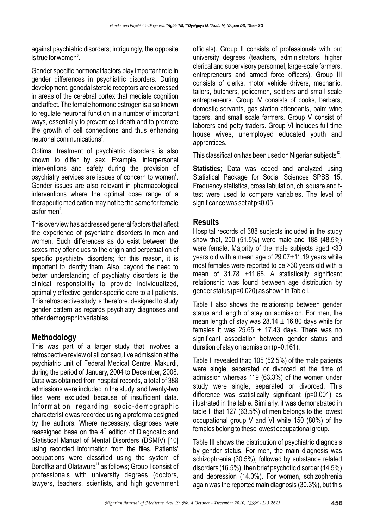against psychiatric disorders; intriguingly, the opposite is true for women $^\mathrm{s}$ .

Gender specific hormonal factors play important role in gender differences in psychiatric disorders. During development, gonodal steroid receptors are expressed in areas of the cerebral cortex that mediate cognition and affect. The female hormone estrogen is also known to regulate neuronal function in a number of important ways, essentially to prevent cell death and to promote the growth of cell connections and thus enhancing neuronal communications<sup>7</sup>.

Optimal treatment of psychiatric disorders is also known to differ by sex. Example, interpersonal interventions and safety during the provision of psychiatry services are issues of concern to women<sup>8</sup>. Gender issues are also relevant in pharmacological interventions where the optimal dose range of a therapeutic medication may not be the same for female as for men $\degree$ .

This overview has addressed general factors that affect the experience of psychiatric disorders in men and women. Such differences as do exist between the sexes may offer clues to the origin and perpetuation of specific psychiatry disorders; for this reason, it is important to identify them. Also, beyond the need to better understanding of psychiatry disorders is the clinical responsibility to provide individualized, optimally effective gender-specific care to all patients. This retrospective study is therefore, designed to study gender pattern as regards psychiatry diagnoses and other demographic variables.

# **Methodology**

This was part of a larger study that involves a retrospective review of all consecutive admission at the psychiatric unit of Federal Medical Centre, Makurdi, during the period of January, 2004 to December, 2008. Data was obtained from hospital records, a total of 388 admissions were included in the study, and twenty-two files were excluded because of insufficient data. Information regarding socio-demographic characteristic was recorded using a proforma designed by the authors. Where necessary, diagnoses were reassigned base on the  $4<sup>th</sup>$  edition of Diagnostic and Statistical Manual of Mental Disorders (DSMIV) [10] using recorded information from the files. Patients' occupations were classified using the system of Boroffka and Olatawura<sup>11</sup> as follows: Group I consist of professionals with university degrees (doctors, lawyers, teachers, scientists, and high government officials). Group II consists of professionals with out university degrees (teachers, administrators, higher clerical and supervisory personnel, large-scale farmers, entrepreneurs and armed force officers). Group III consists of clerks, motor vehicle drivers, mechanic, tailors, butchers, policemen, soldiers and small scale entrepreneurs. Group IV consists of cooks, barbers, domestic servants, gas station attendants, palm wine tapers, and small scale farmers. Group V consist of laborers and petty traders. Group VI includes full time house wives, unemployed educated youth and apprentices.

This classification has been used on Nigerian subjects $^{\text{12}}$ .

**Statistics;** Data was coded and analyzed using Statistical Package for Social Sciences SPSS 15. Frequency statistics, cross tabulation, chi square and ttest were used to compare variables. The level of significance was set at p<0.05

## **Results**

Hospital records of 388 subjects included in the study show that, 200 (51.5%) were male and 188 (48.5%) were female. Majority of the male subjects aged <30 years old with a mean age of 29.07±11.19 years while most females were reported to be >30 years old with a mean of 31.78 ±11.65. A statistically significant relationship was found between age distribution by gender status (p=0.020) as shown in Table I.

Table I also shows the relationship between gender status and length of stay on admission. For men, the mean length of stay was  $28.14 \pm 16.80$  days while for females it was  $25.65 \pm 17.43$  days. There was no significant association between gender status and duration of stay on admission (p=0.161).

Table II revealed that; 105 (52.5%) of the male patients were single, separated or divorced at the time of admission whereas 119 (63.3%) of the women under study were single, separated or divorced. This difference was statistically significant (p=0.001) as illustrated in the table. Similarly, it was demonstrated in table II that 127 (63.5%) of men belongs to the lowest occupational group V and VI while 150 (80%) of the females belong to these lowest occupational group.

Table III shows the distribution of psychiatric diagnosis by gender status. For men, the main diagnosis was schizophrenia (30.5%), followed by substance related disorders (16.5%), then brief psychotic disorder (14.5%) and depression (14.0%). For women, schizophrenia again was the reported main diagnosis (30.3%), but this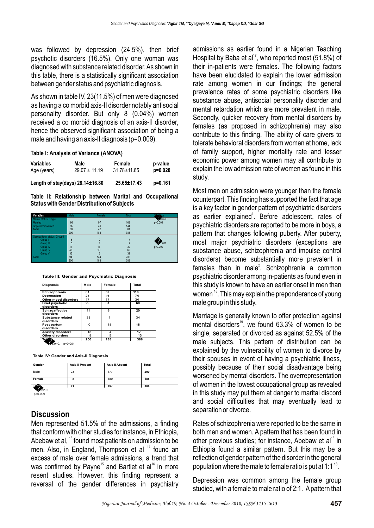was followed by depression (24.5%), then brief psychotic disorders (16.5%). Only one woman was diagnosed with substance related disorder. As shown in this table, there is a statistically significant association between gender status and psychiatric diagnosis.

As shown in table IV, 23(11.5%) of men were diagnosed as having a co morbid axis-II disorder notably antisocial personality disorder. But only 8 (0.04%) women received a co morbid diagnosis of an axis-II disorder, hence the observed significant association of being a male and having an axis-II diagnosis (p=0.009).

#### **Table I: Analysis of Variance (ANOVA)**

| <b>Variables</b>                 | Male              | Female      | p-value |
|----------------------------------|-------------------|-------------|---------|
| Age (years)                      | $29.07 \pm 11.19$ | 31.78±11.65 | p=0.020 |
| Length of stay(days) 28.14±16.80 |                   | 25.65±17.43 | p=0.161 |

**Table II: Relationship between Marital and Occupational Status with Gender Distribution of Subjects**

| <b>Variables</b>                     | Male | Female          | Total | <b>Statistics</b> |
|--------------------------------------|------|-----------------|-------|-------------------|
| Marital status: Single               |      |                 |       | $2=20.350$        |
| Married                              | 66   | 97              | 163   | $p=0.001$         |
| Separ<br>Total<br>Separated/divorced | 95   | 49              | 144   |                   |
|                                      | 39   | 42              | 81    |                   |
|                                      | 200  | 188             | 388   |                   |
| Occupational status: Group I         |      |                 |       |                   |
| Group II                             | 5    |                 |       |                   |
| Group III                            | 5    |                 | 9     | $2=42.011$        |
| Group IV                             | 17   | 13              | 30    | $p=0.000$         |
| Group V                              | 46   | 19              | 65    |                   |
| Group VI                             | 33   | $6\overline{6}$ | 39    |                   |
| Total                                | 94   | 144             | 238   |                   |
|                                      | 200  | 188             | 388   |                   |

#### **Table III: Gender and Psychiatric Diagnosis**

| <b>Diagnosis</b>          | Male     | Female         | Total |
|---------------------------|----------|----------------|-------|
| Schizophrenia             | 61       | 57             | 118   |
| <b>Depression</b>         | 28       | 46             | 74    |
| Other mood disorders      | 17       | 17             | 34    |
| <b>Brief psychotic</b>    | 29       | 31             | 60    |
| disorders                 |          |                |       |
| <b>Schizoaffective</b>    | 11       | 9              | 20    |
| disorders                 |          |                |       |
| Substance related         | 33       |                | 34    |
| disorders                 |          |                |       |
| Post partum               | $\Omega$ | 18             | 18    |
| disorders                 |          |                |       |
| <b>Anxiety disorders</b>  | 13       | $\overline{4}$ | 17    |
| Other disorders           | 8        | 5              | 13    |
| Total                     | 200      | 188            | 388   |
| $2=58.040$ .<br>$p=0.001$ |          |                |       |

**Table IV: Gender and Axis-II Diagnosis**

| Gender                          | <b>Axis-II Present</b> | <b>Axis-II Absent</b> | <b>Total</b> |
|---------------------------------|------------------------|-----------------------|--------------|
| Male                            | 23                     | 177                   | 200          |
| Female                          | 8                      | 180                   | 188          |
| Total<br>$2=6.919$<br>$p=0.009$ | 31                     | 357                   | 388          |

#### **Discussion**

Men represented 51.5% of the admissions, a finding that conform with other studies for instance, in Ethiopia, Abebaw et al,  $^{13}$  found most patients on admission to be men. Also, in England, Thompson et al <sup>14</sup> found an excess of male over female admissions, a trend that was confirmed by Payne<sup>15</sup> and Bartlet et al<sup>16</sup> in more resent studies. However, this finding represent a reversal of the gender differences in psychiatry

admissions as earlier found in a Nigerian Teaching Hospital by Baba et al<sup>17</sup>, who reported most (51.8%) of their in-patients were females. The following factors have been elucidated to explain the lower admission rate among women in our findings; the general prevalence rates of some psychiatric disorders like substance abuse, antisocial personality disorder and mental retardation which are more prevalent in male. Secondly, quicker recovery from mental disorders by females (as proposed in schizophrenia) may also contribute to this finding. The ability of care givers to tolerate behavioral disorders from women at home, lack of family support, higher mortality rate and lesser economic power among women may all contribute to explain the low admission rate of women as found in this study.

Most men on admission were younger than the female counterpart. This finding has supported the fact that age is a key factor in gender pattern of psychiatric disorders as earlier explained<sup>1</sup>. Before adolescent, rates of psychiatric disorders are reported to be more in boys, a pattern that changes following puberty. After puberty, most major psychiatric disorders (exceptions are substance abuse, schizophrenia and impulse control disorders) become substantially more prevalent in females than in male<sup>2</sup>. Schizophrenia a common psychiatric disorder among in-patients as found even in this study is known to have an earlier onset in men than women  $18$ . This may explain the preponderance of young male group in this study.

Marriage is generally known to offer protection against mental disorders<sup>19</sup>, we found  $63.3\%$  of women to be single, separated or divorced as against 52.5% of the male subjects. This pattern of distribution can be explained by the vulnerability of women to divorce by their spouses in event of having a psychiatric illness, possibly because of their social disadvantage being worsened by mental disorders. The overrepresentation of women in the lowest occupational group as revealed in this study may put them at danger to marital discord and social difficulties that may eventually lead to separation or divorce.

Rates of schizophrenia were reported to be the same in both men and women. A pattern that has been found in other previous studies; for instance, Abebaw et al<sup>13</sup> in Ethiopia found a similar pattern. But this may be a reflection of gender pattern of the disorder in the general population where the male to female ratio is put at 1:1  $^{\text{18}}$ .

Depression was common among the female group studied, with a female to male ratio of 2:1. A pattern that